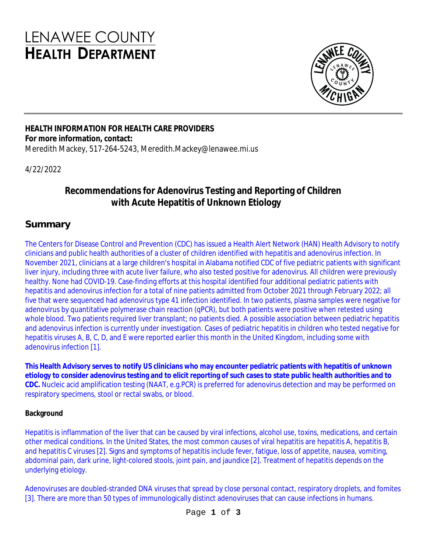# **LENAWEE COUNTY HEALTH DEPARTMENT**



## **HEALTH INFORMATION FOR HEALTH CARE PROVIDERS For more information, contact:**

Meredith Mackey, 517-264-5243, Meredith.Mackey@lenawee.mi.us

4/22/2022

# **Recommendations for Adenovirus Testing and Reporting of Children with Acute Hepatitis of Unknown Etiology**

## **Summary**

The Centers for Disease Control and Prevention (CDC) has issued a Health Alert Network (HAN) Health Advisory to notify clinicians and public health authorities of a cluster of children identified with hepatitis and adenovirus infection. In November 2021, clinicians at a large children's hospital in Alabama notified CDC of five pediatric patients with significant liver injury, including three with acute liver failure, who also tested positive for adenovirus. All children were previously healthy. None had COVID-19. Case-finding efforts at this hospital identified four additional pediatric patients with hepatitis and adenovirus infection for a total of nine patients admitted from October 2021 through February 2022; all five that were sequenced had adenovirus type 41 infection identified. In two patients, plasma samples were negative for adenovirus by quantitative polymerase chain reaction (qPCR), but both patients were positive when retested using whole blood. Two patients required liver transplant; no patients died. A possible association between pediatric hepatitis and adenovirus infection is currently under investigation. Cases of pediatric hepatitis in children who tested negative for hepatitis viruses A, B, C, D, and E were reported earlier this month in the United Kingdom, including some with adenovirus infection [1].

**This Health Advisory serves to notify US clinicians who may encounter pediatric patients with hepatitis of unknown etiology to consider adenovirus testing and to elicit reporting of such cases to state public health authorities and to CDC.** Nucleic acid amplification testing (NAAT, e.g.PCR) is preferred for adenovirus detection and may be performed on respiratory specimens, stool or rectal swabs, or blood.

### **Background**

Hepatitis is inflammation of the liver that can be caused by viral infections, alcohol use, toxins, medications, and certain other medical conditions. In the United States, the most common causes of viral hepatitis are hepatitis A, hepatitis B, and hepatitis C viruses [2]. Signs and symptoms of hepatitis include fever, fatigue, loss of appetite, nausea, vomiting, abdominal pain, dark urine, light-colored stools, joint pain, and jaundice [2]. Treatment of hepatitis depends on the underlying etiology.

Adenoviruses are doubled-stranded DNA viruses that spread by close personal contact, respiratory droplets, and fomites [3]. There are more than 50 types of immunologically distinct adenoviruses that can cause infections in humans.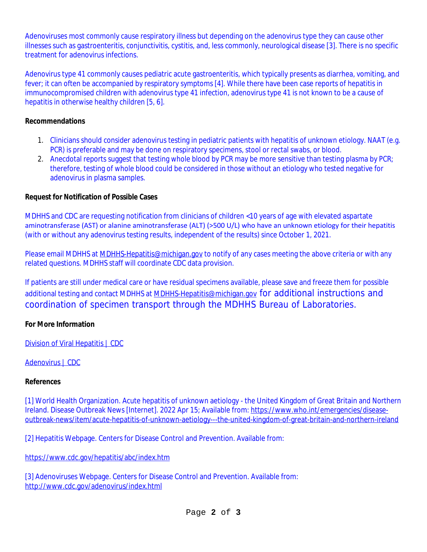Adenoviruses most commonly cause respiratory illness but depending on the adenovirus type they can cause other illnesses such as gastroenteritis, conjunctivitis, cystitis, and, less commonly, neurological disease [3]. There is no specific treatment for adenovirus infections.

Adenovirus type 41 commonly causes pediatric acute gastroenteritis, which typically presents as diarrhea, vomiting, and fever; it can often be accompanied by respiratory symptoms [4]. While there have been case reports of hepatitis in immunocompromised children with adenovirus type 41 infection, adenovirus type 41 is not known to be a cause of hepatitis in otherwise healthy children [5, 6].

#### **Recommendations**

- 1. Clinicians should consider adenovirus testing in pediatric patients with hepatitis of unknown etiology. NAAT (e.g. PCR) is preferable and may be done on respiratory specimens, stool or rectal swabs, or blood.
- 2. Anecdotal reports suggest that testing whole blood by PCR may be more sensitive than testing plasma by PCR; therefore, testing of whole blood could be considered in those without an etiology who tested negative for adenovirus in plasma samples.

#### **Request for Notification of Possible Cases**

MDHHS and CDC are requesting notification from clinicians of children <10 years of age with elevated aspartate aminotransferase (AST) or alanine aminotransferase (ALT) (>500 U/L) who have an unknown etiology for their hepatitis (with or without any adenovirus testing results, independent of the results) since October 1, 2021.

Please email MDHHS at [MDHHS-Hepatitis@michigan.gov](mailto:MDHHS-Hepatitis@michigan.gov) to notify of any cases meeting the above criteria or with any related questions. MDHHS staff will coordinate CDC data provision.

If patients are still under medical care or have residual specimens available, please save and freeze them for possible additional testing and contact MDHHS at [MDHHS-Hepatitis@michigan.gov](mailto:MDHHS-Hepatitis@michigan.gov) for additional instructions and coordination of specimen transport through the MDHHS Bureau of Laboratories.

#### **For More Information**

[Division of Viral Hepatitis | CDC](https://gcc02.safelinks.protection.outlook.com/?url=https%3A%2F%2Fwww.cdc.gov%2Fhepatitis%2Findex.htm&data=05%7C01%7CCollinsJ12%40michigan.gov%7C1ad06636f44441d4daad08da23b7ae82%7Cd5fb7087377742ad966a892ef47225d1%7C0%7C0%7C637861569779970853%7CUnknown%7CTWFpbGZsb3d8eyJWIjoiMC4wLjAwMDAiLCJQIjoiV2luMzIiLCJBTiI6Ik1haWwiLCJXVCI6Mn0%3D%7C3000%7C%7C%7C&sdata=9%2FMiumV3kbYdKdhkl%2BytX5O4mGKKDCbKAIDXv4x5Ioo%3D&reserved=0)

#### [Adenovirus | CDC](https://gcc02.safelinks.protection.outlook.com/?url=https%3A%2F%2Fwww.cdc.gov%2Fadenovirus%2Findex.html&data=05%7C01%7CCollinsJ12%40michigan.gov%7C1ad06636f44441d4daad08da23b7ae82%7Cd5fb7087377742ad966a892ef47225d1%7C0%7C0%7C637861569779970853%7CUnknown%7CTWFpbGZsb3d8eyJWIjoiMC4wLjAwMDAiLCJQIjoiV2luMzIiLCJBTiI6Ik1haWwiLCJXVCI6Mn0%3D%7C3000%7C%7C%7C&sdata=oKVuqtLnA9bdzoyu5rudjdWKPadd6%2BTNb%2FOwGJG40y8%3D&reserved=0)

#### **References**

[1] World Health Organization. Acute hepatitis of unknown aetiology - the United Kingdom of Great Britain and Northern Ireland. Disease Outbreak News [Internet]. 2022 Apr 15; Available from: [https://www.who.int/emergencies/disease](https://gcc02.safelinks.protection.outlook.com/?url=https%3A%2F%2Fwww.who.int%2Femergencies%2Fdisease-outbreak-news%2Fitem%2Facute-hepatitis-of-unknown-aetiology---the-united-kingdom-of-great-britain-and-northern-ireland&data=05%7C01%7CCollinsJ12%40michigan.gov%7C1ad06636f44441d4daad08da23b7ae82%7Cd5fb7087377742ad966a892ef47225d1%7C0%7C0%7C637861569779970853%7CUnknown%7CTWFpbGZsb3d8eyJWIjoiMC4wLjAwMDAiLCJQIjoiV2luMzIiLCJBTiI6Ik1haWwiLCJXVCI6Mn0%3D%7C3000%7C%7C%7C&sdata=z5zUuczFjMJ1iE7do%2Bn%2FlwNVnBxXoy8LuVdjJlU%2Bowk%3D&reserved=0)outbreak-news/item/acute-hepatitis-of-unknown-aetiology---the-united-kingdom-of-great-britain-and-northern-ireland

[2] Hepatitis Webpage. Centers for Disease Control and Prevention. Available from:

[https://www.cdc.gov/hepatitis/abc/index.htm](https://gcc02.safelinks.protection.outlook.com/?url=https%3A%2F%2Fwww.cdc.gov%2Fhepatitis%2Fabc%2Findex.htm&data=05%7C01%7CCollinsJ12%40michigan.gov%7C1ad06636f44441d4daad08da23b7ae82%7Cd5fb7087377742ad966a892ef47225d1%7C0%7C0%7C637861569779970853%7CUnknown%7CTWFpbGZsb3d8eyJWIjoiMC4wLjAwMDAiLCJQIjoiV2luMzIiLCJBTiI6Ik1haWwiLCJXVCI6Mn0%3D%7C3000%7C%7C%7C&sdata=W3uXOjBh9APeP9ZukaNV9DBC%2FdBI9icaJNe1AD2Dfh4%3D&reserved=0)

[3] Adenoviruses Webpage. Centers for Disease Control and Prevention. Available from: [http://www.cdc.gov/adenovirus/index.html](https://gcc02.safelinks.protection.outlook.com/?url=http%3A%2F%2Fwww.cdc.gov%2Fadenovirus%2Findex.html&data=05%7C01%7CCollinsJ12%40michigan.gov%7C1ad06636f44441d4daad08da23b7ae82%7Cd5fb7087377742ad966a892ef47225d1%7C0%7C0%7C637861569779970853%7CUnknown%7CTWFpbGZsb3d8eyJWIjoiMC4wLjAwMDAiLCJQIjoiV2luMzIiLCJBTiI6Ik1haWwiLCJXVCI6Mn0%3D%7C3000%7C%7C%7C&sdata=VnsgZ%2BKV1Wi3qOhV7xYuxL7q7Pf%2F4Hc6c7bRXDZczpE%3D&reserved=0)